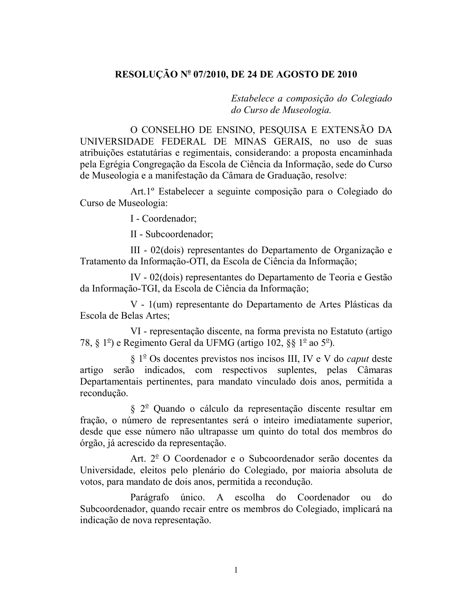## RESOLUÇÃO Nº 07/2010, DE 24 DE AGOSTO DE 2010

Estabelece a composição do Colegiado do Curso de Museologia.

O CONSELHO DE ENSINO, PESQUISA E EXTENSÃO DA UNIVERSIDADE FEDERAL DE MINAS GERAIS, no uso de suas atribuições estatutárias e regimentais, considerando: a proposta encaminhada pela Egrégia Congregação da Escola de Ciência da Informação, sede do Curso de Museologia e a manifestação da Câmara de Graduação, resolve:

Art.1<sup>°</sup> Estabelecer a seguinte composição para o Colegiado do Curso de Museologia:

I - Coordenador;

II - Subcoordenador;

III - 02(dois) representantes do Departamento de Organização e Tratamento da Informação-OTI, da Escola de Ciência da Informação;

IV - 02 (dois) representantes do Departamento de Teoria e Gestão da Informação-TGI, da Escola de Ciência da Informação;

V - 1(um) representante do Departamento de Artes Plásticas da Escola de Belas Artes:

VI - representação discente, na forma prevista no Estatuto (artigo 78, § 1<sup>o</sup>) e Regimento Geral da UFMG (artigo 102, §§ 1<sup>o</sup> ao 5<sup>o</sup>).

 $\S 1^{\circ}$  Os docentes previstos nos incisos III, IV e V do *caput* deste artigo serão indicados, com respectivos suplentes, pelas Câmaras Departamentais pertinentes, para mandato vinculado dois anos, permitida a recondução.

§ 2<sup>°</sup> Quando o cálculo da representação discente resultar em fração, o número de representantes será o inteiro imediatamente superior, desde que esse número não ultrapasse um quinto do total dos membros do órgão, já acrescido da representação.

Art. 2<sup>°</sup> O Coordenador e o Subcoordenador serão docentes da Universidade, eleitos pelo plenário do Colegiado, por maioria absoluta de votos, para mandato de dois anos, permitida a recondução.

único. A escolha Parágrafo do Coordenador do  $\Omega$ Subcoordenador, quando recair entre os membros do Colegiado, implicará na indicação de nova representação.